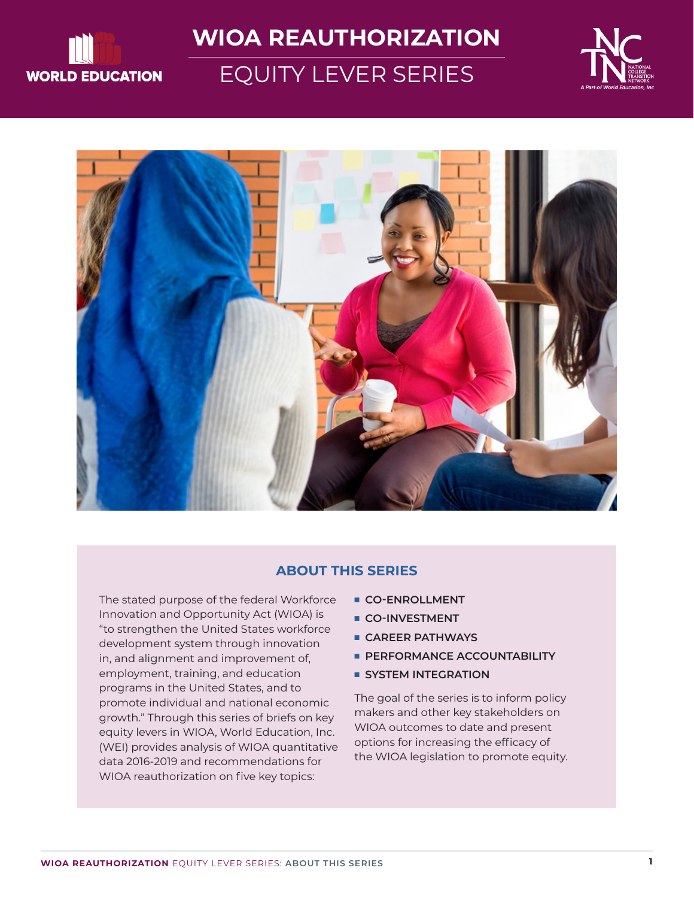

# **WIOA REAUTHORIZATION**

# EQUITY LEVER SERIES





#### **ABOUT THIS SERIES**

The stated purpose of the federal Workforce Innovation and Opportunity Act (WIOA) is "to strengthen the United States workforce development system through innovation in, and alignment and improvement of, employment, training, and education programs in the United States, and to promote individual and national economic growth." Through this series of briefs on key equity levers in WIOA, World Education, Inc. (WEI) provides analysis of WIOA quantitative data 2016-2019 and recommendations for WIOA reauthorization on five key topics:

- **n** CO-ENROLLMENT
- **E** CO-INVESTMENT
- **E** CAREER PATHWAYS
- **PERFORMANCE ACCOUNTABILITY**
- **E** SYSTEM INTEGRATION

The goal of the series is to inform policy makers and other key stakeholders on WIOA outcomes to date and present options for increasing the efficacy of the WIOA legislation to promote equity.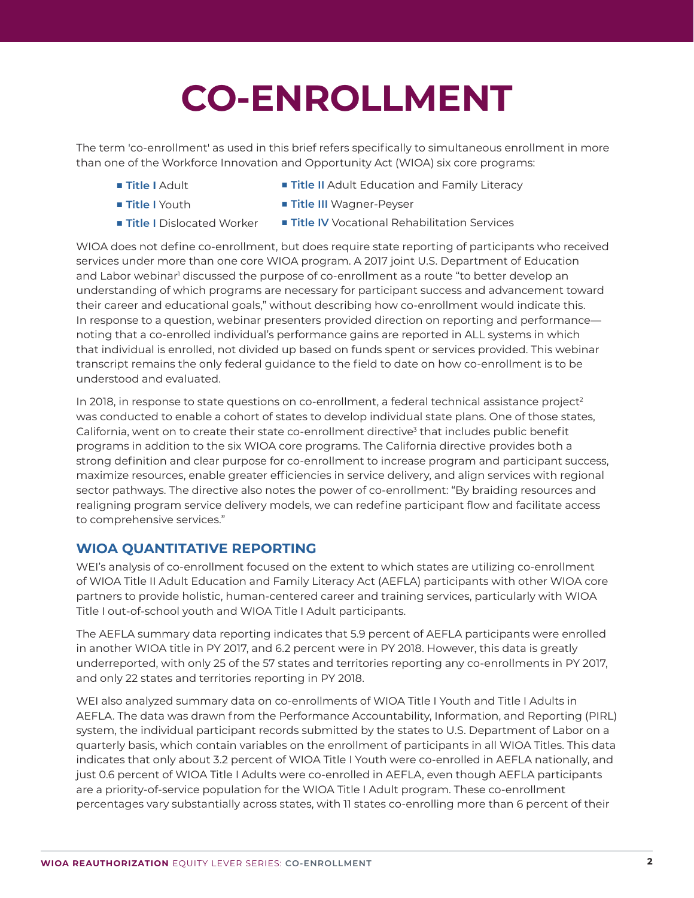# **CO-ENROLLMENT**

The term 'co-enrollment' as used in this brief refers specifically to simultaneous enrollment in more than one of the Workforce Innovation and Opportunity Act (WIOA) six core programs:

- **Title I** Adult
- **Title II** Adult Education and Family Literacy
- **n** Title I Youth
- **Title III** Wagner-Peyser
- **Title I** Dislocated Worker
- **Title IV** Vocational Rehabilitation Services

WIOA does not define co-enrollment, but does require state reporting of participants who received services under more than one core WIOA program. A 2017 joint U.S. Department of Education and Labor webinar<sup>1</sup> discussed the purpose of co-enrollment as a route "to better develop an understanding of which programs are necessary for participant success and advancement toward their career and educational goals," without describing how co-enrollment would indicate this. In response to a question, webinar presenters provided direction on reporting and performance noting that a co-enrolled individual's performance gains are reported in ALL systems in which that individual is enrolled, not divided up based on funds spent or services provided. This webinar transcript remains the only federal guidance to the field to date on how co-enrollment is to be understood and evaluated.

In 2018, in response to state questions on co-enrollment, a federal technical assistance project<sup>2</sup> was conducted to enable a cohort of states to develop individual state plans. One of those states, California, went on to create their state co-enrollment directive<sup>3</sup> that includes public benefit programs in addition to the six WIOA core programs. The California directive provides both a strong definition and clear purpose for co-enrollment to increase program and participant success, maximize resources, enable greater efficiencies in service delivery, and align services with regional sector pathways. The directive also notes the power of co-enrollment: "By braiding resources and realigning program service delivery models, we can redefine participant flow and facilitate access to comprehensive services."

#### **WIOA QUANTITATIVE REPORTING**

WEI's analysis of co-enrollment focused on the extent to which states are utilizing co-enrollment of WIOA Title II Adult Education and Family Literacy Act (AEFLA) participants with other WIOA core partners to provide holistic, human-centered career and training services, particularly with WIOA Title I out-of-school youth and WIOA Title I Adult participants.

The AEFLA summary data reporting indicates that 5.9 percent of AEFLA participants were enrolled in another WIOA title in PY 2017, and 6.2 percent were in PY 2018. However, this data is greatly underreported, with only 25 of the 57 states and territories reporting any co-enrollments in PY 2017, and only 22 states and territories reporting in PY 2018.

WEI also analyzed summary data on co-enrollments of WIOA Title I Youth and Title I Adults in AEFLA. The data was drawn from the Performance Accountability, Information, and Reporting (PIRL) system, the individual participant records submitted by the states to U.S. Department of Labor on a quarterly basis, which contain variables on the enrollment of participants in all WIOA Titles. This data indicates that only about 3.2 percent of WIOA Title I Youth were co-enrolled in AEFLA nationally, and just 0.6 percent of WIOA Title I Adults were co-enrolled in AEFLA, even though AEFLA participants are a priority-of-service population for the WIOA Title I Adult program. These co-enrollment percentages vary substantially across states, with 11 states co-enrolling more than 6 percent of their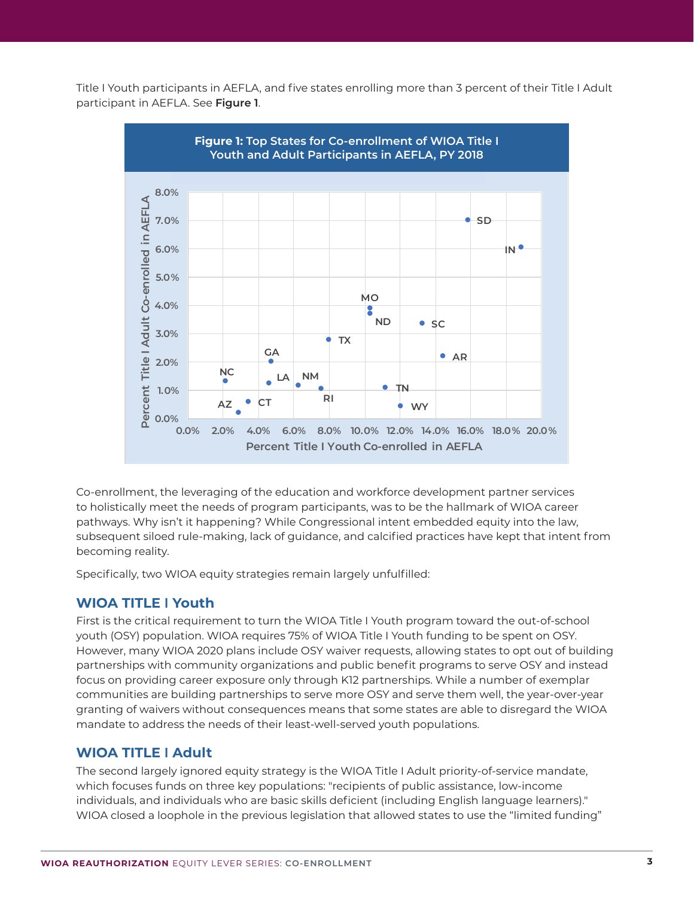Title I Youth participants in AEFLA, and five states enrolling more than 3 percent of their Title I Adult participant in AEFLA. See **Figure 1**.



Co-enrollment, the leveraging of the education and workforce development partner services to holistically meet the needs of program participants, was to be the hallmark of WIOA career pathways. Why isn't it happening? While Congressional intent embedded equity into the law, subsequent siloed rule-making, lack of guidance, and calcified practices have kept that intent from becoming reality.

Specifically, two WIOA equity strategies remain largely unfulfilled:

# **WIOA TITLE I Youth**

First is the critical requirement to turn the WIOA Title I Youth program toward the out-of-school youth (OSY) population. WIOA requires 75% of WIOA Title I Youth funding to be spent on OSY. However, many WIOA 2020 plans include OSY waiver requests, allowing states to opt out of building partnerships with community organizations and public benefit programs to serve OSY and instead focus on providing career exposure only through K12 partnerships. While a number of exemplar communities are building partnerships to serve more OSY and serve them well, the year-over-year granting of waivers without consequences means that some states are able to disregard the WIOA mandate to address the needs of their least-well-served youth populations.

# **WIOA TITLE I Adult**

The second largely ignored equity strategy is the WIOA Title I Adult priority-of-service mandate, which focuses funds on three key populations: "recipients of public assistance, low-income individuals, and individuals who are basic skills deficient (including English language learners)." WIOA closed a loophole in the previous legislation that allowed states to use the "limited funding"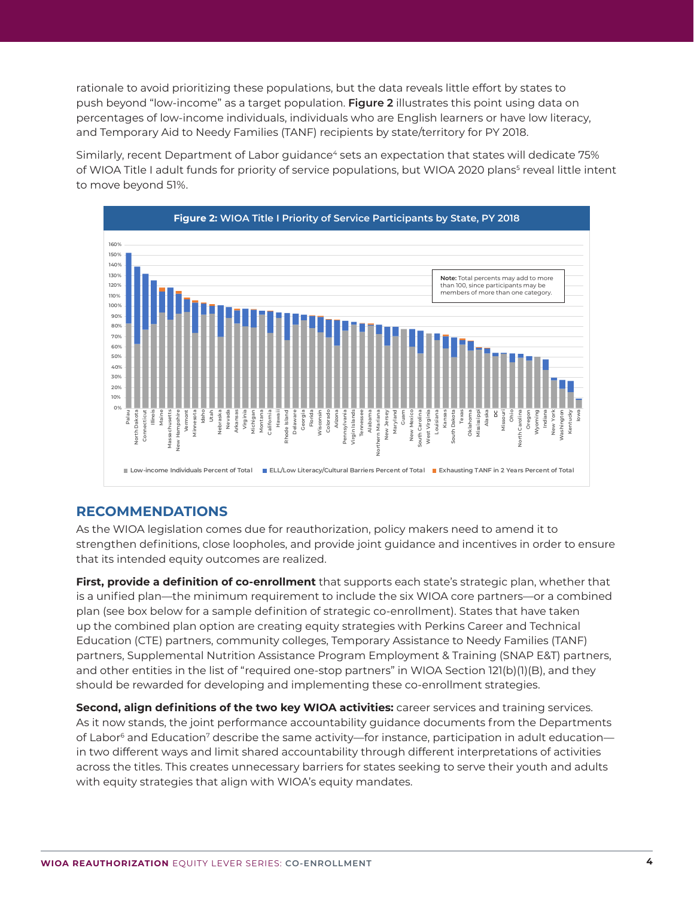rationale to avoid prioritizing these populations, but the data reveals little effort by states to push beyond "low-income" as a target population. **Figure 2** illustrates this point using data on percentages of low-income individuals, individuals who are English learners or have low literacy, and Temporary Aid to Needy Families (TANF) recipients by state/territory for PY 2018.

Similarly, recent Department of Labor guidance<sup>4</sup> sets an expectation that states will dedicate 75% of WIOA Title I adult funds for priority of service populations, but WIOA 2020 plans<sup>5</sup> reveal little intent to move beyond 51%.



# **RECOMMENDATIONS**

As the WIOA legislation comes due for reauthorization, policy makers need to amend it to strengthen definitions, close loopholes, and provide joint guidance and incentives in order to ensure that its intended equity outcomes are realized.

**First, provide a definition of co-enrollment** that supports each state's strategic plan, whether that is a unified plan—the minimum requirement to include the six WIOA core partners—or a combined plan (see box below for a sample definition of strategic co-enrollment). States that have taken up the combined plan option are creating equity strategies with Perkins Career and Technical Education (CTE) partners, community colleges, Temporary Assistance to Needy Families (TANF) partners, Supplemental Nutrition Assistance Program Employment & Training (SNAP E&T) partners, and other entities in the list of "required one-stop partners" in WIOA Section 121(b)(1)(B), and they should be rewarded for developing and implementing these co-enrollment strategies.

**Second, align definitions of the two key WIOA activities:** career services and training services. As it now stands, the joint performance accountability guidance documents from the Departments of Labor<sup>6</sup> and Education<sup>7</sup> describe the same activity—for instance, participation in adult education in two different ways and limit shared accountability through different interpretations of activities across the titles. This creates unnecessary barriers for states seeking to serve their youth and adults with equity strategies that align with WIOA's equity mandates.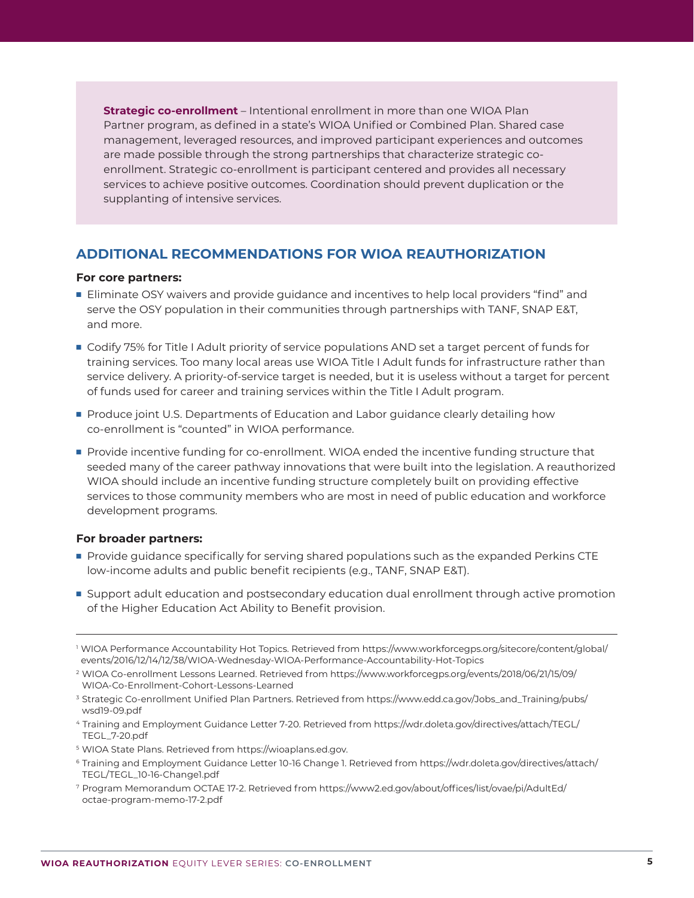**Strategic co-enrollment** – Intentional enrollment in more than one WIOA Plan Partner program, as defined in a state's WIOA Unified or Combined Plan. Shared case management, leveraged resources, and improved participant experiences and outcomes are made possible through the strong partnerships that characterize strategic coenrollment. Strategic co-enrollment is participant centered and provides all necessary services to achieve positive outcomes. Coordination should prevent duplication or the supplanting of intensive services.

# **ADDITIONAL RECOMMENDATIONS FOR WIOA REAUTHORIZATION**

#### **For core partners:**

- **Eliminate OSY waivers and provide quidance and incentives to help local providers "find" and** serve the OSY population in their communities through partnerships with TANF, SNAP E&T, and more.
- **ORIGHT 1** Codify 75% for Title I Adult priority of service populations AND set a target percent of funds for training services. Too many local areas use WIOA Title I Adult funds for infrastructure rather than service delivery. A priority-of-service target is needed, but it is useless without a target for percent of funds used for career and training services within the Title I Adult program.
- **Produce joint U.S. Departments of Education and Labor guidance clearly detailing how** co-enrollment is "counted" in WIOA performance.
- **Provide incentive funding for co-enrollment. WIOA ended the incentive funding structure that** seeded many of the career pathway innovations that were built into the legislation. A reauthorized WIOA should include an incentive funding structure completely built on providing effective services to those community members who are most in need of public education and workforce development programs.

#### **For broader partners:**

- $\blacksquare$  Provide guidance specifically for serving shared populations such as the expanded Perkins CTE low-income adults and public benefit recipients (e.g., TANF, SNAP E&T).
- **Support adult education and postsecondary education dual enrollment through active promotion** of the Higher Education Act Ability to Benefit provision.

- <sup>3</sup> Strategic Co-enrollment Unified Plan Partners. Retrieved from https://www.edd.ca.gov/Jobs\_and\_Training/pubs/ wsd19-09.pdf
- 4 Training and Employment Guidance Letter 7-20. Retrieved from https://wdr.doleta.gov/directives/attach/TEGL/ TEGL\_7-20.pdf
- 5 WIOA State Plans. Retrieved from https://wioaplans.ed.gov.
- 6 Training and Employment Guidance Letter 10-16 Change 1. Retrieved from https://wdr.doleta.gov/directives/attach/ TEGL/TEGL\_10-16-Change1.pdf
- 7 Program Memorandum OCTAE 17-2. Retrieved from https://www2.ed.gov/about/offices/list/ovae/pi/AdultEd/ octae-program-memo-17-2.pdf

<sup>1</sup> WIOA Performance Accountability Hot Topics. Retrieved from https://www.workforcegps.org/sitecore/content/global/ events/2016/12/14/12/38/WIOA-Wednesday-WIOA-Performance-Accountability-Hot-Topics

<sup>2</sup> WIOA Co-enrollment Lessons Learned. Retrieved from https://www.workforcegps.org/events/2018/06/21/15/09/ WIOA-Co-Enrollment-Cohort-Lessons-Learned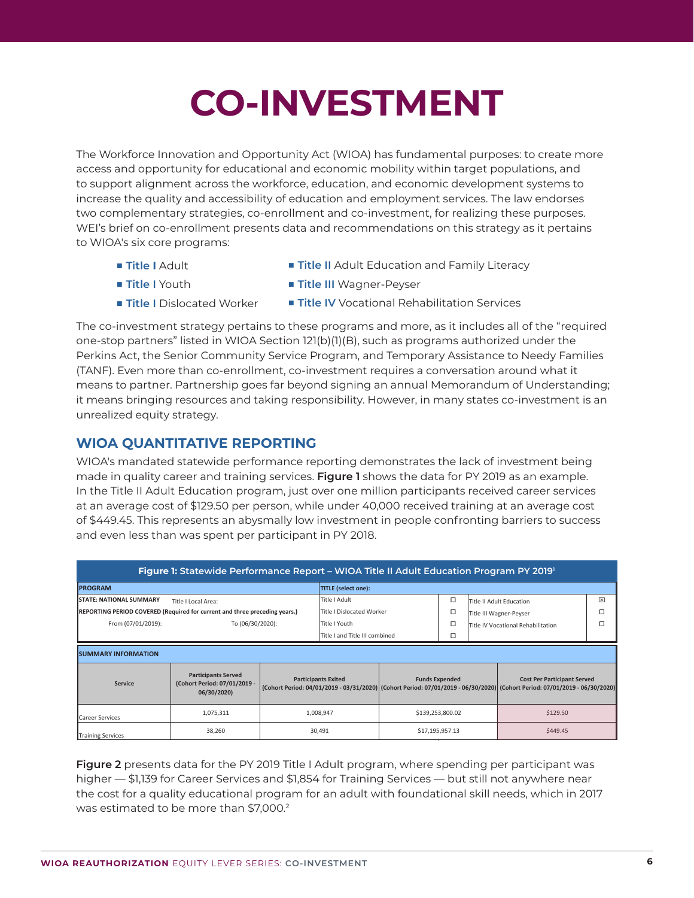# **CO-INVESTMENT**

The Workforce Innovation and Opportunity Act (WIOA) has fundamental purposes: to create more access and opportunity for educational and economic mobility within target populations, and to support alignment across the workforce, education, and economic development systems to increase the quality and accessibility of education and employment services. The law endorses two complementary strategies, co-enrollment and co-investment, for realizing these purposes. WEI's brief on co-enrollment presents data and recommendations on this strategy as it pertains to WIOA's six core programs:

 $\blacksquare$  **Title | Adult** 

- **Title II** Adult Education and Family Literacy
- **n** Title I Youth
- **n** Title I Dislocated Worker
- **Title III** Wagner-Peyser
- Title IV Vocational Rehabilitation Services

The co-investment strategy pertains to these programs and more, as it includes all of the "required one-stop partners" listed in WIOA Section 121(b)(1)(B), such as programs authorized under the Perkins Act, the Senior Community Service Program, and Temporary Assistance to Needy Families (TANF). Even more than co-enrollment, co-investment requires a conversation around what it means to partner. Partnership goes far beyond signing an annual Memorandum of Understanding; it means bringing resources and taking responsibility. However, in many states co-investment is an unrealized equity strategy.

### **WIOA QUANTITATIVE REPORTING**

WIOA's mandated statewide performance reporting demonstrates the lack of investment being made in quality career and training services. **Figure 1** shows the data for PY 2019 as an example. In the Title II Adult Education program, just over one million participants received career services at an average cost of \$129.50 per person, while under 40,000 received training at an average cost of \$449.45. This represents an abysmally low investment in people confronting barriers to success and even less than was spent per participant in PY 2018.

| Figure 1: Statewide Performance Report - WIOA Title II Adult Education Program PY 2019 |                                                                           |           |                                                                                                                                                          |                  |                       |                                    |                                    |                |  |
|----------------------------------------------------------------------------------------|---------------------------------------------------------------------------|-----------|----------------------------------------------------------------------------------------------------------------------------------------------------------|------------------|-----------------------|------------------------------------|------------------------------------|----------------|--|
| <b>PROGRAM</b>                                                                         |                                                                           |           | <b>TITLE (select one):</b>                                                                                                                               |                  |                       |                                    |                                    |                |  |
| <b>STATE: NATIONAL SUMMARY</b><br>Title I Local Area:                                  |                                                                           |           | Title I Adult                                                                                                                                            |                  | □                     | Title II Adult Education           |                                    | $\overline{X}$ |  |
| REPORTING PERIOD COVERED (Required for current and three preceding years.)             |                                                                           |           | <b>Title I Dislocated Worker</b>                                                                                                                         |                  | □                     | Title III Wagner-Peyser            |                                    | п              |  |
| From (07/01/2019):                                                                     | To (06/30/2020):                                                          |           |                                                                                                                                                          | Title I Youth    |                       | Title IV Vocational Rehabilitation |                                    | п              |  |
|                                                                                        |                                                                           |           | Title I and Title III combined                                                                                                                           |                  | □                     |                                    |                                    |                |  |
| <b>SUMMARY INFORMATION</b>                                                             |                                                                           |           |                                                                                                                                                          |                  |                       |                                    |                                    |                |  |
| <b>Service</b>                                                                         | <b>Participants Served</b><br>(Cohort Period: 07/01/2019 -<br>06/30/2020) |           | <b>Participants Exited</b><br>(Cohort Period: 04/01/2019 - 03/31/2020) (Cohort Period: 07/01/2019 - 06/30/2020) (Cohort Period: 07/01/2019 - 06/30/2020) |                  | <b>Funds Expended</b> |                                    | <b>Cost Per Participant Served</b> |                |  |
| <b>Career Services</b>                                                                 | 1,075,311                                                                 | 1,008,947 |                                                                                                                                                          | \$139,253,800.02 |                       | \$129.50                           |                                    |                |  |
| <b>Training Services</b>                                                               | 38,260                                                                    | 30,491    |                                                                                                                                                          | \$17,195,957.13  |                       | \$449.45                           |                                    |                |  |

**Figure 2** presents data for the PY 2019 Title I Adult program, where spending per participant was higher — \$1,139 for Career Services and \$1,854 for Training Services — but still not anywhere near 7.26% the cost for a quality educational program for an adult with foundational skill needs, which in 2017 was estimated to be more than \$7,000.<sup>2</sup>

**07/01/2018 ‐**

**01/01/2017 ‐**

**07/01/2018 ‐**

**01/01/2017 ‐**

**07/01/2019 ‐**

**Exited**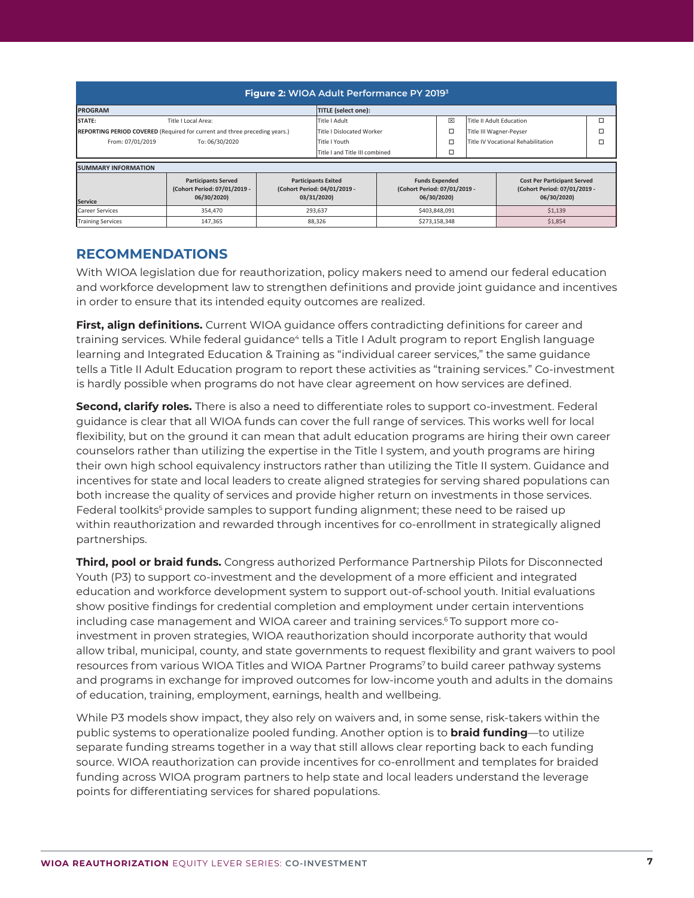| Figure 2: WIOA Adult Performance PY 2019 <sup>3</sup>                      |                                                                           |                                                                           |                                  |                                                                      |   |                                    |                                                                                   |   |
|----------------------------------------------------------------------------|---------------------------------------------------------------------------|---------------------------------------------------------------------------|----------------------------------|----------------------------------------------------------------------|---|------------------------------------|-----------------------------------------------------------------------------------|---|
| <b>PROGRAM</b>                                                             |                                                                           |                                                                           | <b>TITLE</b> (select one):       |                                                                      |   |                                    |                                                                                   |   |
| STATE:<br>Title I Local Area:                                              |                                                                           |                                                                           | Title I Adult                    |                                                                      | 区 | Title II Adult Education           |                                                                                   | ◻ |
| REPORTING PERIOD COVERED (Required for current and three preceding years.) |                                                                           |                                                                           | <b>Title I Dislocated Worker</b> |                                                                      | □ | Title III Wagner-Peyser            |                                                                                   | □ |
| From: 07/01/2019                                                           | To: 06/30/2020                                                            |                                                                           | Title I Youth                    |                                                                      |   | Title IV Vocational Rehabilitation |                                                                                   | ◻ |
|                                                                            |                                                                           |                                                                           | Title I and Title III combined   |                                                                      | □ |                                    |                                                                                   |   |
| <b>SUMMARY INFORMATION</b>                                                 |                                                                           |                                                                           |                                  |                                                                      |   |                                    |                                                                                   |   |
| Service                                                                    | <b>Participants Served</b><br>(Cohort Period: 07/01/2019 -<br>06/30/2020) | <b>Participants Exited</b><br>(Cohort Period: 04/01/2019 -<br>03/31/2020) |                                  | <b>Funds Expended</b><br>(Cohort Period: 07/01/2019 -<br>06/30/2020) |   |                                    | <b>Cost Per Participant Served</b><br>(Cohort Period: 07/01/2019 -<br>06/30/2020) |   |
| <b>Career Services</b>                                                     | 354,470                                                                   | 293,637                                                                   |                                  | \$403,848,091                                                        |   | \$1,139                            |                                                                                   |   |
| <b>Training Services</b>                                                   | 147,365                                                                   | 88,326                                                                    |                                  | \$273,158,348                                                        |   | \$1,854                            |                                                                                   |   |

#### **RECOMMENDATIONS**

With WIOA legislation due for reauthorization, policy makers need to amend our federal education and workforce development law to strengthen definitions and provide joint guidance and incentives<br>.  $\frac{1}{2}$  order to ensure that its intended equity outcomes are realized.  $\blacksquare$  and incentive  $\blacksquare$  **Example Boort Period:**  $\blacksquare$  **Period:**  $\blacksquare$  **Period:**  $\blacksquare$   $\blacksquare$   $\blacksquare$ 

**First, align definitions.** Current WIOA guidance offers contradicting definitions for career and **The cause of the Carly Carly Control of School Control Control Community** of the Carly and training services. While federal guidance<sup>4</sup> tells a Title I Adult program to report English language learning and Integrated Education & Training as "individual career services," the same guidance tells a Title II Adult Education program to report these activities as "training services." Co-investment is hardly possible when programs do not have clear agreement on how services are defined.

**Second, clarify roles.** There is also a need to differentiate roles to support co-investment. Federal guidance is clear that all WIOA funds can cover the full range of services. This works well for local flexibility, but on the ground it can mean that adult education programs are hiring their own career counselors rather than utilizing the expertise in the Title I system, and youth programs are hiring their own high school equivalency instructors rather than utilizing the Title II system. Guidance and incentives for state and local leaders to create aligned strategies for serving shared populations can both increase the quality of services and provide higher return on investments in those services. Federal toolkits<sup>s</sup> provide samples to support funding alignment; these need to be raised up within reauthorization and rewarded through incentives for co-enrollment in strategically aligned partnerships. American 115,238,238,204 \$5,626,204 \$5,626,204 \$5,626,204 \$5,626,204 \$5,626,204 \$5,626,204 \$5,626,204 \$5,626,

Third, pool or braid funds. Congress authorized Performance Partnership Pilots for Disconnected Youth (P3) to support co-investment and the development of a more efficient and integrated education and workforce development system to support out-of-school youth. Initial evaluations show positive findings for credential completion and employment under certain interventions including case management and WIOA career and training services.<sup>6</sup> To support more coinvestment in proven strategies, WIOA reauthorization should incorporate authority that would allow tribal, municipal, county, and state governments to request flexibility and grant waivers to pool resources from various WIOA Titles and WIOA Partner Programs<sup>7</sup> to build career pathway systems and programs in exchange for improved outcomes for low-income youth and adults in the domains of education, training, employment, earnings, health and wellbeing. Ethnicity/Race

While P3 models show impact, they also rely on waivers and, in some sense, risk-takers within the public systems to operationalize pooled funding. Another option is to **braid funding**—to utilize separate funding streams together in a way that still allows clear reporting back to each funding source. WIOA reauthorization can provide incentives for co-enrollment and templates for braided funding across WIOA program partners to help state and local leaders understand the leverage points for differentiating services for shared populations.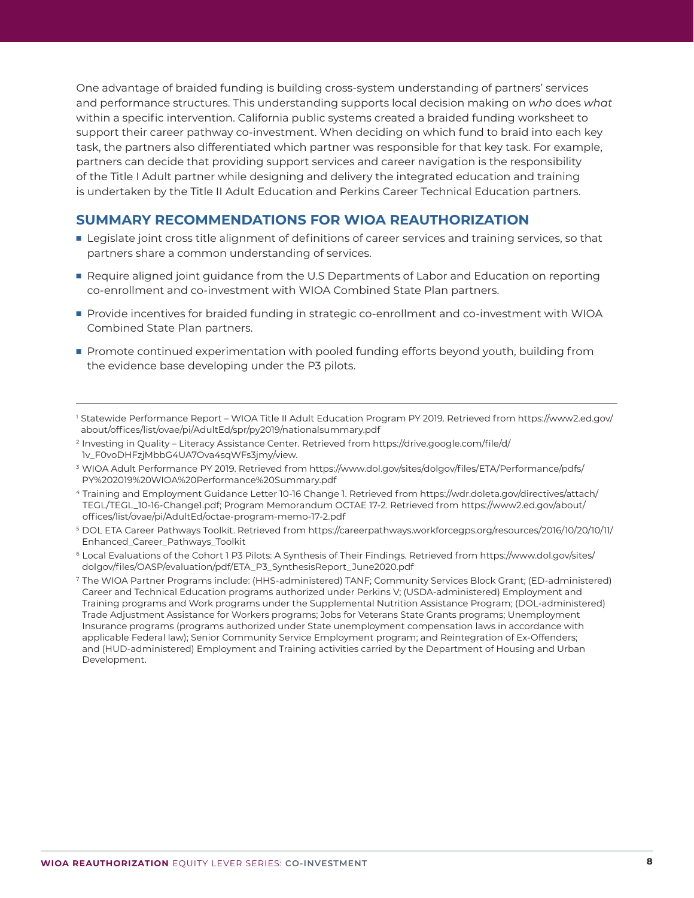One advantage of braided funding is building cross-system understanding of partners' services and performance structures. This understanding supports local decision making on *who* does *what* within a specific intervention. California public systems created a braided funding worksheet to support their career pathway co-investment. When deciding on which fund to braid into each key task, the partners also differentiated which partner was responsible for that key task. For example, partners can decide that providing support services and career navigation is the responsibility of the Title I Adult partner while designing and delivery the integrated education and training is undertaken by the Title II Adult Education and Perkins Career Technical Education partners.

#### **SUMMARY RECOMMENDATIONS FOR WIOA REAUTHORIZATION**

- **Example 1** Legislate joint cross title alignment of definitions of career services and training services, so that partners share a common understanding of services.
- Require aligned joint guidance from the U.S Departments of Labor and Education on reporting co-enrollment and co-investment with WIOA Combined State Plan partners.
- **Provide incentives for braided funding in strategic co-enrollment and co-investment with WIOA** Combined State Plan partners.
- **Promote continued experimentation with pooled funding efforts beyond youth, building from** the evidence base developing under the P3 pilots.
- 1 Statewide Performance Report WIOA Title II Adult Education Program PY 2019. Retrieved from https://www2.ed.gov/ about/offices/list/ovae/pi/AdultEd/spr/py2019/nationalsummary.pdf
- 2 Investing in Quality Literacy Assistance Center. Retrieved from https://drive.google.com/file/d/ 1v\_F0voDHFzjMbbG4UA7Ova4sqWFs3jmy/view.
- 3 WIOA Adult Performance PY 2019. Retrieved from https://www.dol.gov/sites/dolgov/files/ETA/Performance/pdfs/ PY%202019%20WIOA%20Performance%20Summary.pdf
- 4 Training and Employment Guidance Letter 10-16 Change 1. Retrieved from https://wdr.doleta.gov/directives/attach/ TEGL/TEGL\_10-16-Change1.pdf; Program Memorandum OCTAE 17-2. Retrieved from https://www2.ed.gov/about/ offices/list/ovae/pi/AdultEd/octae-program-memo-17-2.pdf
- 5 DOL ETA Career Pathways Toolkit. Retrieved from https://careerpathways.workforcegps.org/resources/2016/10/20/10/11/ Enhanced\_Career\_Pathways\_Toolkit
- <sup>6</sup> Local Evaluations of the Cohort 1 P3 Pilots: A Synthesis of Their Findings. Retrieved from https://www.dol.gov/sites/ dolgov/files/OASP/evaluation/pdf/ETA\_P3\_SynthesisReport\_June2020.pdf
- 7 The WIOA Partner Programs include: (HHS-administered) TANF; Community Services Block Grant; (ED-administered) Career and Technical Education programs authorized under Perkins V; (USDA-administered) Employment and Training programs and Work programs under the Supplemental Nutrition Assistance Program; (DOL-administered) Trade Adjustment Assistance for Workers programs; Jobs for Veterans State Grants programs; Unemployment Insurance programs (programs authorized under State unemployment compensation laws in accordance with applicable Federal law); Senior Community Service Employment program; and Reintegration of Ex-Offenders; and (HUD-administered) Employment and Training activities carried by the Department of Housing and Urban Development.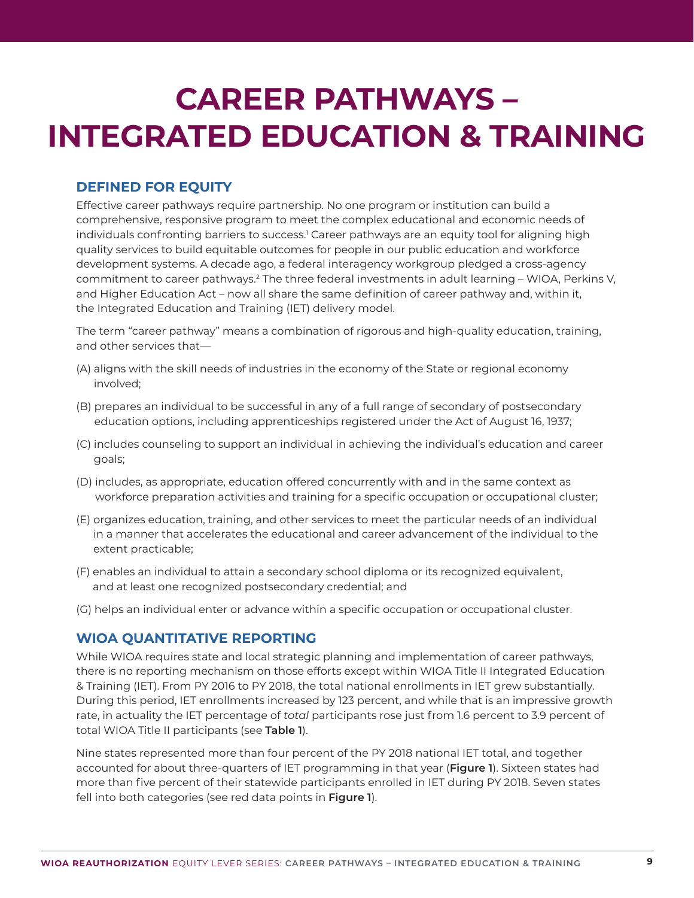# **CAREER PATHWAYS – INTEGRATED EDUCATION & TRAINING**

### **DEFINED FOR EQUITY**

Effective career pathways require partnership. No one program or institution can build a comprehensive, responsive program to meet the complex educational and economic needs of individuals confronting barriers to success.<sup>1</sup> Career pathways are an equity tool for aligning high quality services to build equitable outcomes for people in our public education and workforce development systems. A decade ago, a federal interagency workgroup pledged a cross-agency commitment to career pathways.<sup>2</sup> The three federal investments in adult learning – WIOA, Perkins V, and Higher Education Act – now all share the same definition of career pathway and, within it, the Integrated Education and Training (IET) delivery model.

The term "career pathway" means a combination of rigorous and high-quality education, training, and other services that—

- (A) aligns with the skill needs of industries in the economy of the State or regional economy involved;
- (B) prepares an individual to be successful in any of a full range of secondary of postsecondary education options, including apprenticeships registered under the Act of August 16, 1937;
- (C) includes counseling to support an individual in achieving the individual's education and career goals;
- (D) includes, as appropriate, education offered concurrently with and in the same context as workforce preparation activities and training for a specific occupation or occupational cluster;
- (E) organizes education, training, and other services to meet the particular needs of an individual in a manner that accelerates the educational and career advancement of the individual to the extent practicable;
- (F) enables an individual to attain a secondary school diploma or its recognized equivalent, and at least one recognized postsecondary credential; and
- (G) helps an individual enter or advance within a specific occupation or occupational cluster.

#### **WIOA QUANTITATIVE REPORTING**

While WIOA requires state and local strategic planning and implementation of career pathways, there is no reporting mechanism on those efforts except within WIOA Title II Integrated Education & Training (IET). From PY 2016 to PY 2018, the total national enrollments in IET grew substantially. During this period, IET enrollments increased by 123 percent, and while that is an impressive growth rate, in actuality the IET percentage of *total* participants rose just from 1.6 percent to 3.9 percent of total WIOA Title II participants (see **Table 1**).

Nine states represented more than four percent of the PY 2018 national IET total, and together accounted for about three-quarters of IET programming in that year (**Figure 1**). Sixteen states had more than five percent of their statewide participants enrolled in IET during PY 2018. Seven states fell into both categories (see red data points in **Figure 1**).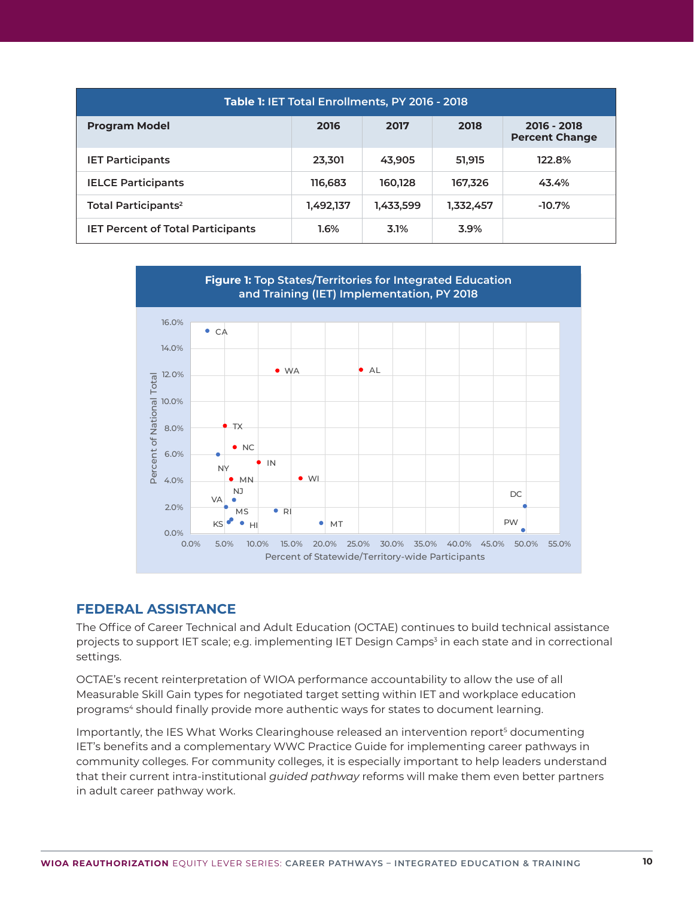| Table 1: IET Total Enrollments, PY 2016 - 2018 |           |           |           |                                      |  |  |  |  |
|------------------------------------------------|-----------|-----------|-----------|--------------------------------------|--|--|--|--|
| <b>Program Model</b>                           | 2016      | 2017      | 2018      | 2016 - 2018<br><b>Percent Change</b> |  |  |  |  |
| <b>IET Participants</b>                        | 23,301    | 43,905    | 51,915    | 122.8%                               |  |  |  |  |
| <b>IELCE Participants</b>                      | 116,683   | 160,128   | 167,326   | 43.4%                                |  |  |  |  |
| Total Participants <sup>2</sup>                | 1,492,137 | 1,433,599 | 1,332,457 | $-10.7%$                             |  |  |  |  |
| <b>IET Percent of Total Participants</b>       | 1.6%      | 3.1%      | 3.9%      |                                      |  |  |  |  |



#### **FEDERAL ASSISTANCE**

The Office of Career Technical and Adult Education (OCTAE) continues to build technical assistance projects to support IET scale; e.g. implementing IET Design Camps<sup>3</sup> in each state and in correctional settings.

OCTAE's recent reinterpretation of WIOA performance accountability to allow the use of all Measurable Skill Gain types for negotiated target setting within IET and workplace education programs<sup>4</sup> should finally provide more authentic ways for states to document learning.

Importantly, the IES What Works Clearinghouse released an intervention report<sup>5</sup> documenting IET's benefits and a complementary WWC Practice Guide for implementing career pathways in community colleges. For community colleges, it is especially important to help leaders understand that their current intra-institutional *guided pathway* reforms will make them even better partners in adult career pathway work.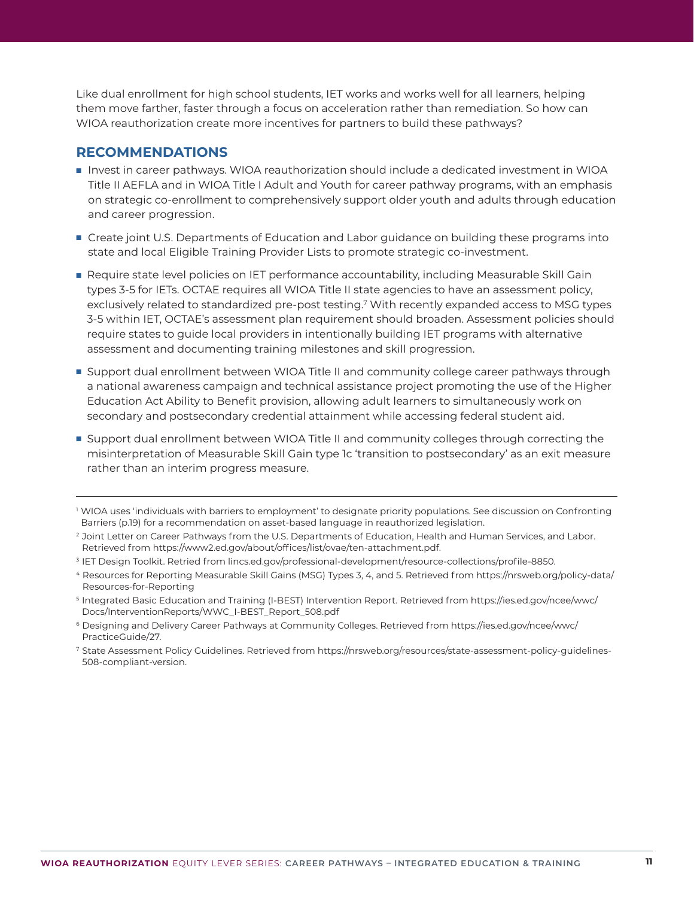Like dual enrollment for high school students, IET works and works well for all learners, helping them move farther, faster through a focus on acceleration rather than remediation. So how can WIOA reauthorization create more incentives for partners to build these pathways?

#### **RECOMMENDATIONS**

- Invest in career pathways. WIOA reauthorization should include a dedicated investment in WIOA Title II AEFLA and in WIOA Title I Adult and Youth for career pathway programs, with an emphasis on strategic co-enrollment to comprehensively support older youth and adults through education and career progression.
- **ThanCreate joint U.S. Departments of Education and Labor guidance on building these programs into** state and local Eligible Training Provider Lists to promote strategic co-investment.
- Require state level policies on IET performance accountability, including Measurable Skill Gain types 3-5 for IETs. OCTAE requires all WIOA Title II state agencies to have an assessment policy, exclusively related to standardized pre-post testing.<sup>7</sup> With recently expanded access to MSG types 3-5 within IET, OCTAE's assessment plan requirement should broaden. Assessment policies should require states to guide local providers in intentionally building IET programs with alternative assessment and documenting training milestones and skill progression.
- **Support dual enrollment between WIOA Title II and community college career pathways through** a national awareness campaign and technical assistance project promoting the use of the Higher Education Act Ability to Benefit provision, allowing adult learners to simultaneously work on secondary and postsecondary credential attainment while accessing federal student aid.
- **Support dual enrollment between WIOA Title II and community colleges through correcting the** misinterpretation of Measurable Skill Gain type 1c 'transition to postsecondary' as an exit measure rather than an interim progress measure.

<sup>&</sup>lt;sup>1</sup> WIOA uses 'individuals with barriers to employment' to designate priority populations. See discussion on Confronting Barriers (p.19) for a recommendation on asset-based language in reauthorized legislation.

<sup>&</sup>lt;sup>2</sup> Joint Letter on Career Pathways from the U.S. Departments of Education, Health and Human Services, and Labor. Retrieved from https://www2.ed.gov/about/offices/list/ovae/ten-attachment.pdf.

<sup>3</sup> IET Design Toolkit. Retried from lincs.ed.gov/professional-development/resource-collections/profile-8850.

<sup>4</sup> Resources for Reporting Measurable Skill Gains (MSG) Types 3, 4, and 5. Retrieved from https://nrsweb.org/policy-data/ Resources-for-Reporting

<sup>5</sup> Integrated Basic Education and Training (I-BEST) Intervention Report. Retrieved from https://ies.ed.gov/ncee/wwc/ Docs/InterventionReports/WWC\_I-BEST\_Report\_508.pdf

<sup>6</sup> Designing and Delivery Career Pathways at Community Colleges. Retrieved from https://ies.ed.gov/ncee/wwc/ PracticeGuide/27.

<sup>7</sup> State Assessment Policy Guidelines. Retrieved from https://nrsweb.org/resources/state-assessment-policy-guidelines-508-compliant-version.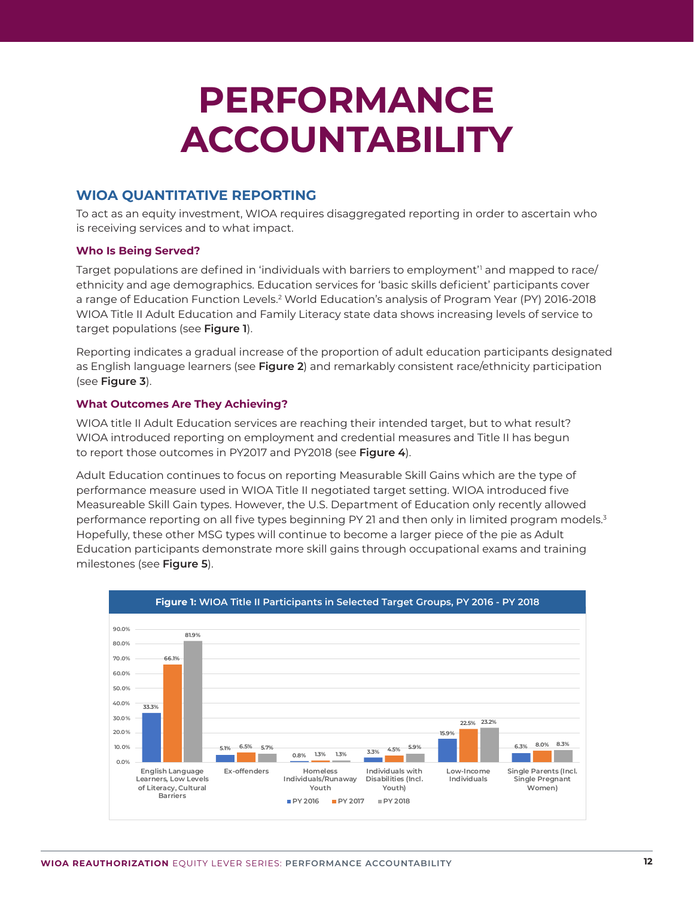# **PERFORMANCE ACCOUNTABILITY**

#### **WIOA QUANTITATIVE REPORTING**

To act as an equity investment, WIOA requires disaggregated reporting in order to ascertain who is receiving services and to what impact.

#### **Who Is Being Served?**

Target populations are defined in 'individuals with barriers to employment'<sup>1</sup> and mapped to race/ ethnicity and age demographics. Education services for 'basic skills deficient' participants cover a range of Education Function Levels.2 World Education's analysis of Program Year (PY) 2016-2018 WIOA Title II Adult Education and Family Literacy state data shows increasing levels of service to target populations (see **Figure 1**).

Reporting indicates a gradual increase of the proportion of adult education participants designated as English language learners (see **Figure 2**) and remarkably consistent race/ethnicity participation (see **Figure 3**).

#### **What Outcomes Are They Achieving?**

WIOA title II Adult Education services are reaching their intended target, but to what result? WIOA introduced reporting on employment and credential measures and Title II has begun to report those outcomes in PY2017 and PY2018 (see **Figure 4**).

Adult Education continues to focus on reporting Measurable Skill Gains which are the type of performance measure used in WIOA Title II negotiated target setting. WIOA introduced five Measureable Skill Gain types. However, the U.S. Department of Education only recently allowed performance reporting on all five types beginning PY 21 and then only in limited program models.<sup>3</sup> Hopefully, these other MSG types will continue to become a larger piece of the pie as Adult Education participants demonstrate more skill gains through occupational exams and training milestones (see **Figure 5**).

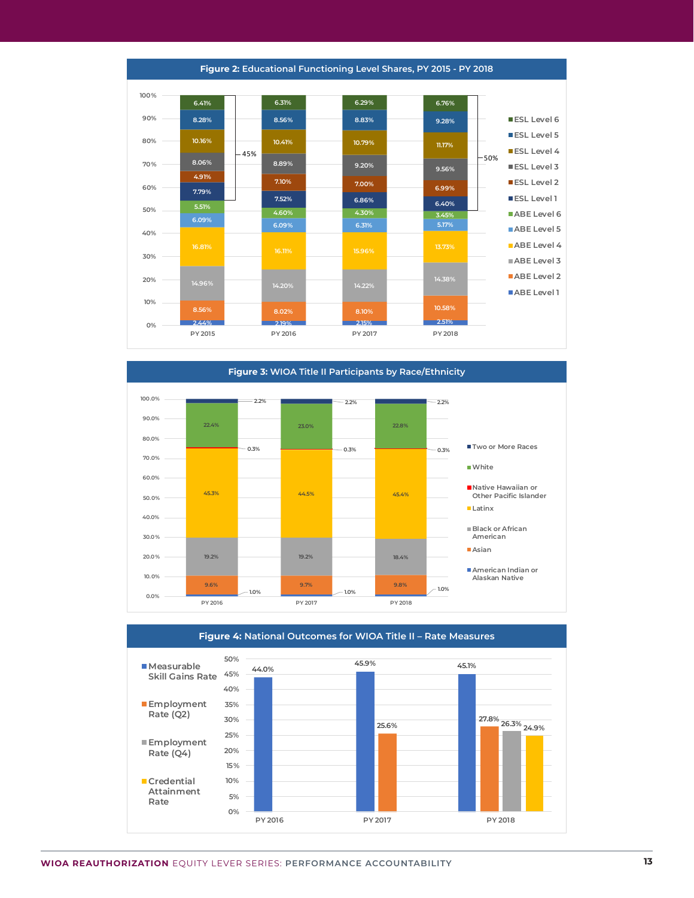**2.44% 2.19% 2.15% 2.51% 8.56% 8.02% 8.10% 10.58% 14.96% 14.20% 14.22% 14.38% 16.81% 16.11% 15.96% 13.73% 6.09% 6.09% 6.31% 5.17% 5.51% 4.60% 4.30% 3.45% 7.79% 7.52% 6.86% 6.40% 4.91% 7.10% 7.00% 6.99% 8.06% 8.89% 9.20% 9.56% 10.16% 10.41% 10.79% 11.17% 8.28% 8.56% 8.83% 9.28% 6.41% 6.31% 6.29% 6.76% 0% 10% 20% 30% 40% 50% 60% 70% 80% 90% 100% PY 2015 PY 2016 PY 2017 PY 2018 Figure 13: Educational Functioning Level Shares; PY 2015 - PY 2018 ESL Level 6 ESL Level 5 ESL Level 4 ESL Level 3 ESL Level 2 ESL Level 1 ABE Level 6 ABE Level 5 ABE Level 4 ABE Level 3 ABE Level 2 ABE Level 1** 45% 50%

**Figure 2: Educational Functioning Level Shares, PY 2015 - PY 2018**



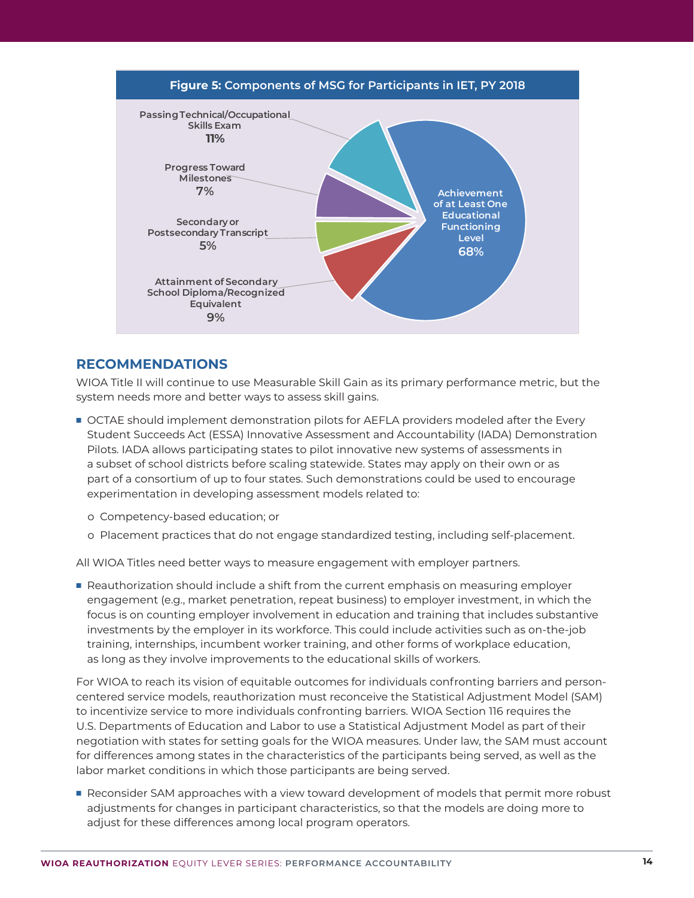

#### **RECOMMENDATIONS**

WIOA Title II will continue to use Measurable Skill Gain as its primary performance metric, but the system needs more and better ways to assess skill gains.

- OCTAE should implement demonstration pilots for AEFLA providers modeled after the Every Student Succeeds Act (ESSA) Innovative Assessment and Accountability (IADA) Demonstration Pilots. IADA allows participating states to pilot innovative new systems of assessments in a subset of school districts before scaling statewide. States may apply on their own or as part of a consortium of up to four states. Such demonstrations could be used to encourage experimentation in developing assessment models related to:
	- o Competency-based education; or
	- o Placement practices that do not engage standardized testing, including self-placement.

All WIOA Titles need better ways to measure engagement with employer partners.

Reauthorization should include a shift from the current emphasis on measuring employer engagement (e.g., market penetration, repeat business) to employer investment, in which the focus is on counting employer involvement in education and training that includes substantive investments by the employer in its workforce. This could include activities such as on-the-job training, internships, incumbent worker training, and other forms of workplace education, as long as they involve improvements to the educational skills of workers.

For WIOA to reach its vision of equitable outcomes for individuals confronting barriers and personcentered service models, reauthorization must reconceive the Statistical Adjustment Model (SAM) to incentivize service to more individuals confronting barriers. WIOA Section 116 requires the U.S. Departments of Education and Labor to use a Statistical Adjustment Model as part of their negotiation with states for setting goals for the WIOA measures. Under law, the SAM must account for differences among states in the characteristics of the participants being served, as well as the labor market conditions in which those participants are being served.

Reconsider SAM approaches with a view toward development of models that permit more robust adjustments for changes in participant characteristics, so that the models are doing more to adjust for these differences among local program operators.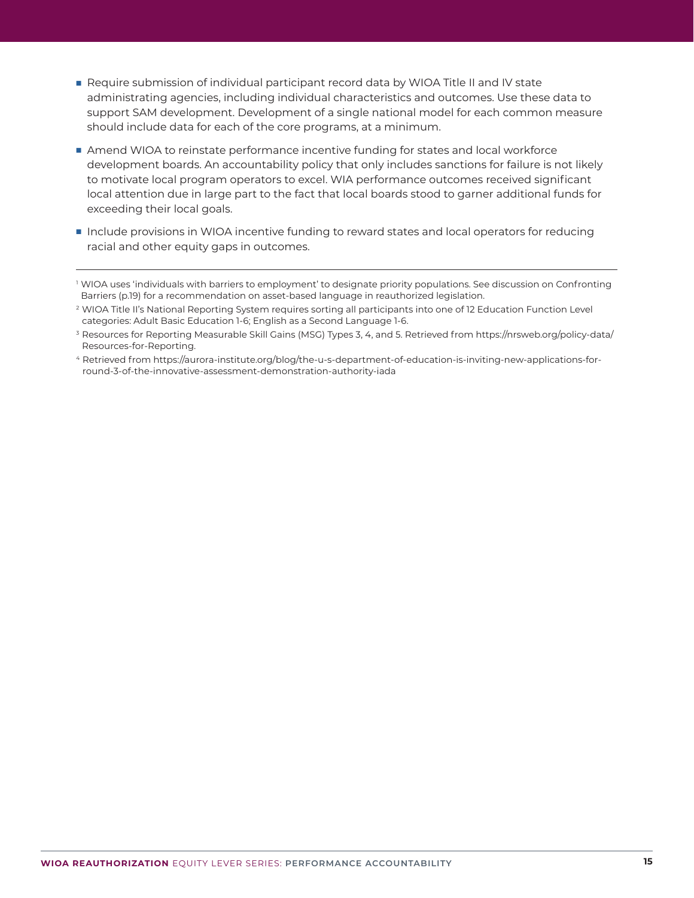- Require submission of individual participant record data by WIOA Title II and IV state administrating agencies, including individual characteristics and outcomes. Use these data to support SAM development. Development of a single national model for each common measure should include data for each of the core programs, at a minimum.
- n Amend WIOA to reinstate performance incentive funding for states and local workforce development boards. An accountability policy that only includes sanctions for failure is not likely to motivate local program operators to excel. WIA performance outcomes received significant local attention due in large part to the fact that local boards stood to garner additional funds for exceeding their local goals.
- Include provisions in WIOA incentive funding to reward states and local operators for reducing racial and other equity gaps in outcomes.

4 Retrieved from https://aurora-institute.org/blog/the-u-s-department-of-education-is-inviting-new-applications-forround-3-of-the-innovative-assessment-demonstration-authority-iada

<sup>1</sup> WIOA uses 'individuals with barriers to employment' to designate priority populations. See discussion on Confronting Barriers (p.19) for a recommendation on asset-based language in reauthorized legislation.

<sup>2</sup> WIOA Title II's National Reporting System requires sorting all participants into one of 12 Education Function Level categories: Adult Basic Education 1-6; English as a Second Language 1-6.

<sup>&</sup>lt;sup>3</sup> Resources for Reporting Measurable Skill Gains (MSG) Types 3, 4, and 5. Retrieved from https://nrsweb.org/policy-data/ Resources-for-Reporting.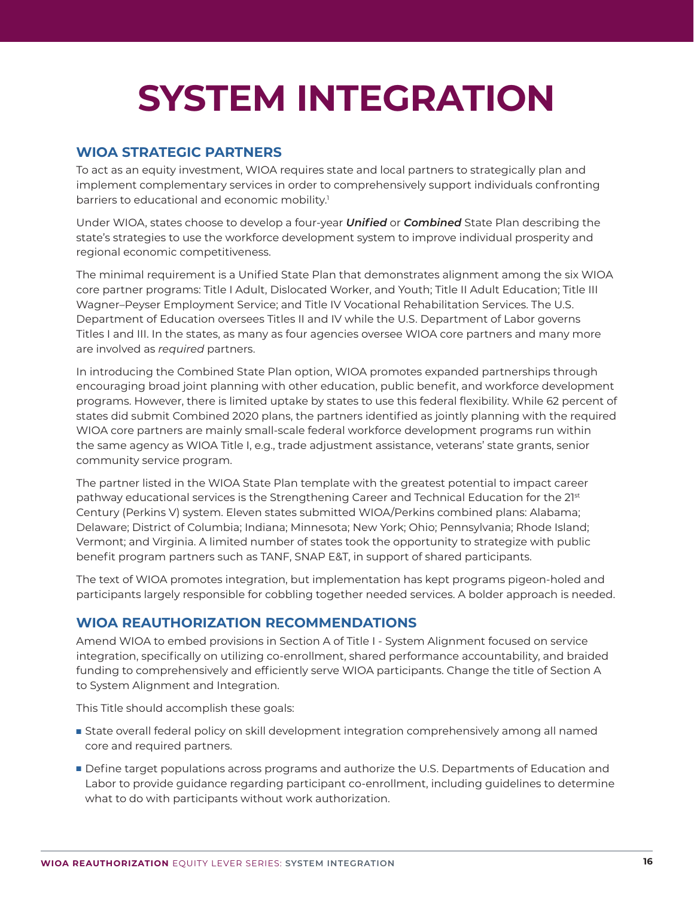# **SYSTEM INTEGRATION**

# **WIOA STRATEGIC PARTNERS**

To act as an equity investment, WIOA requires state and local partners to strategically plan and implement complementary services in order to comprehensively support individuals confronting barriers to educational and economic mobility.<sup>1</sup>

Under WIOA, states choose to develop a four-year *Unified* or *Combined* State Plan describing the state's strategies to use the workforce development system to improve individual prosperity and regional economic competitiveness.

The minimal requirement is a Unified State Plan that demonstrates alignment among the six WIOA core partner programs: Title I Adult, Dislocated Worker, and Youth; Title II Adult Education; Title III Wagner–Peyser Employment Service; and Title IV Vocational Rehabilitation Services. The U.S. Department of Education oversees Titles II and IV while the U.S. Department of Labor governs Titles I and III. In the states, as many as four agencies oversee WIOA core partners and many more are involved as *required* partners.

In introducing the Combined State Plan option, WIOA promotes expanded partnerships through encouraging broad joint planning with other education, public benefit, and workforce development programs. However, there is limited uptake by states to use this federal flexibility. While 62 percent of states did submit Combined 2020 plans, the partners identified as jointly planning with the required WIOA core partners are mainly small-scale federal workforce development programs run within the same agency as WIOA Title I, e.g., trade adjustment assistance, veterans' state grants, senior community service program.

The partner listed in the WIOA State Plan template with the greatest potential to impact career pathway educational services is the Strengthening Career and Technical Education for the 21<sup>st</sup> Century (Perkins V) system. Eleven states submitted WIOA/Perkins combined plans: Alabama; Delaware; District of Columbia; Indiana; Minnesota; New York; Ohio; Pennsylvania; Rhode Island; Vermont; and Virginia. A limited number of states took the opportunity to strategize with public benefit program partners such as TANF, SNAP E&T, in support of shared participants.

The text of WIOA promotes integration, but implementation has kept programs pigeon-holed and participants largely responsible for cobbling together needed services. A bolder approach is needed.

# **WIOA REAUTHORIZATION RECOMMENDATIONS**

Amend WIOA to embed provisions in Section A of Title I - System Alignment focused on service integration, specifically on utilizing co-enrollment, shared performance accountability, and braided funding to comprehensively and efficiently serve WIOA participants. Change the title of Section A to System Alignment and Integration.

This Title should accomplish these goals:

- **s** State overall federal policy on skill development integration comprehensively among all named core and required partners.
- **Define target populations across programs and authorize the U.S. Departments of Education and** Labor to provide guidance regarding participant co-enrollment, including guidelines to determine what to do with participants without work authorization.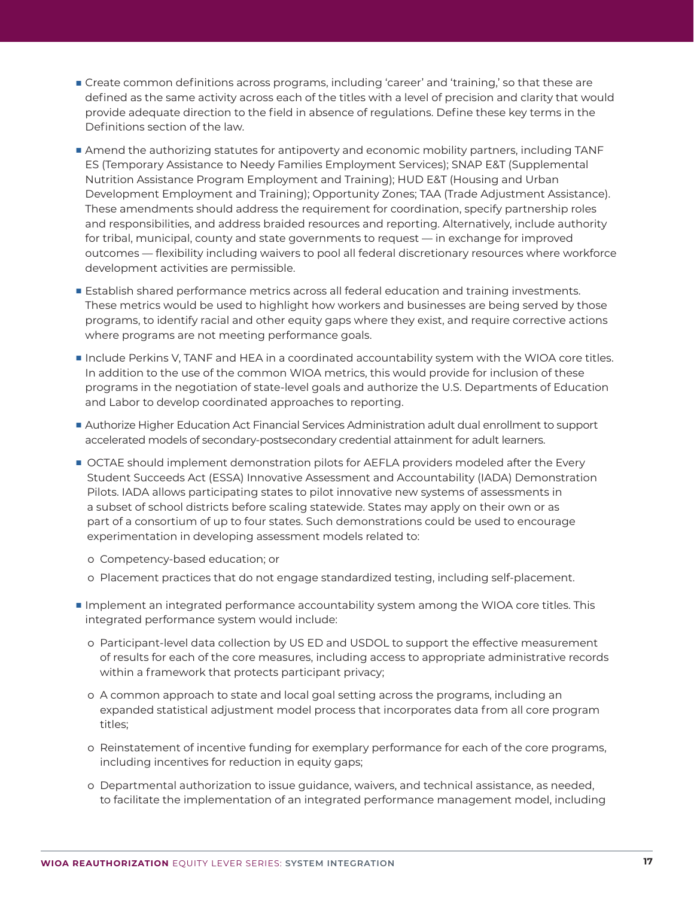- **The Create common definitions across programs, including 'career' and 'training,' so that these are** defined as the same activity across each of the titles with a level of precision and clarity that would provide adequate direction to the field in absence of regulations. Define these key terms in the Definitions section of the law.
- **Amend the authorizing statutes for antipoverty and economic mobility partners, including TANF** ES (Temporary Assistance to Needy Families Employment Services); SNAP E&T (Supplemental Nutrition Assistance Program Employment and Training); HUD E&T (Housing and Urban Development Employment and Training); Opportunity Zones; TAA (Trade Adjustment Assistance). These amendments should address the requirement for coordination, specify partnership roles and responsibilities, and address braided resources and reporting. Alternatively, include authority for tribal, municipal, county and state governments to request — in exchange for improved outcomes — flexibility including waivers to pool all federal discretionary resources where workforce development activities are permissible.
- **E** Establish shared performance metrics across all federal education and training investments. These metrics would be used to highlight how workers and businesses are being served by those programs, to identify racial and other equity gaps where they exist, and require corrective actions where programs are not meeting performance goals.
- Include Perkins V, TANF and HEA in a coordinated accountability system with the WIOA core titles. In addition to the use of the common WIOA metrics, this would provide for inclusion of these programs in the negotiation of state-level goals and authorize the U.S. Departments of Education and Labor to develop coordinated approaches to reporting.
- Authorize Higher Education Act Financial Services Administration adult dual enrollment to support accelerated models of secondary-postsecondary credential attainment for adult learners.
- **OCTAE should implement demonstration pilots for AEFLA providers modeled after the Every** Student Succeeds Act (ESSA) Innovative Assessment and Accountability (IADA) Demonstration Pilots. IADA allows participating states to pilot innovative new systems of assessments in a subset of school districts before scaling statewide. States may apply on their own or as part of a consortium of up to four states. Such demonstrations could be used to encourage experimentation in developing assessment models related to:
	- o Competency-based education; or
	- o Placement practices that do not engage standardized testing, including self-placement.
- Implement an integrated performance accountability system among the WIOA core titles. This integrated performance system would include:
	- o Participant-level data collection by US ED and USDOL to support the effective measurement of results for each of the core measures, including access to appropriate administrative records within a framework that protects participant privacy;
	- o A common approach to state and local goal setting across the programs, including an expanded statistical adjustment model process that incorporates data from all core program titles;
	- o Reinstatement of incentive funding for exemplary performance for each of the core programs, including incentives for reduction in equity gaps;
	- o Departmental authorization to issue guidance, waivers, and technical assistance, as needed, to facilitate the implementation of an integrated performance management model, including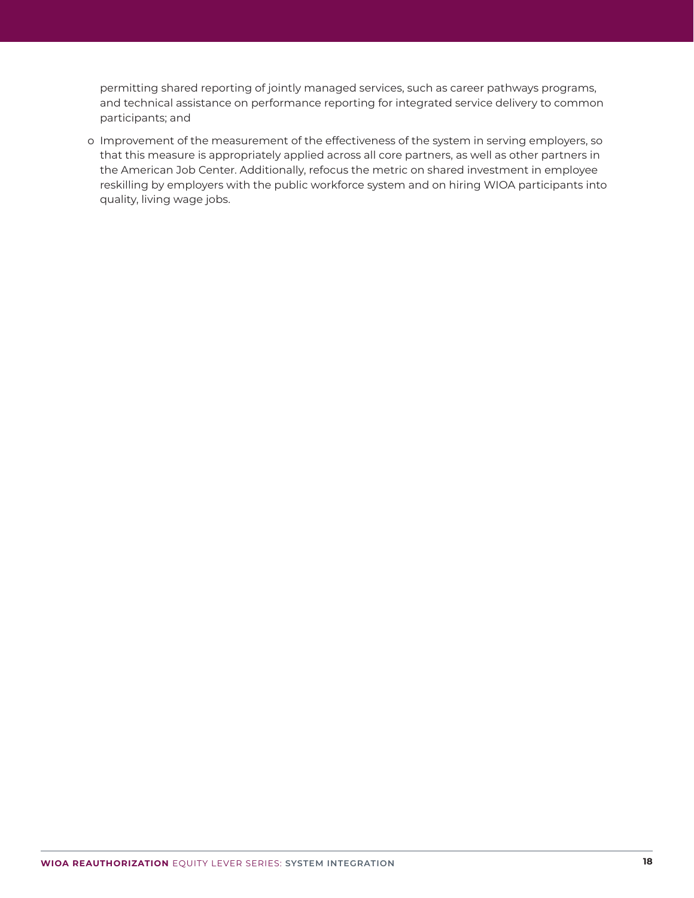permitting shared reporting of jointly managed services, such as career pathways programs, and technical assistance on performance reporting for integrated service delivery to common participants; and

 o Improvement of the measurement of the effectiveness of the system in serving employers, so that this measure is appropriately applied across all core partners, as well as other partners in the American Job Center. Additionally, refocus the metric on shared investment in employee reskilling by employers with the public workforce system and on hiring WIOA participants into quality, living wage jobs.